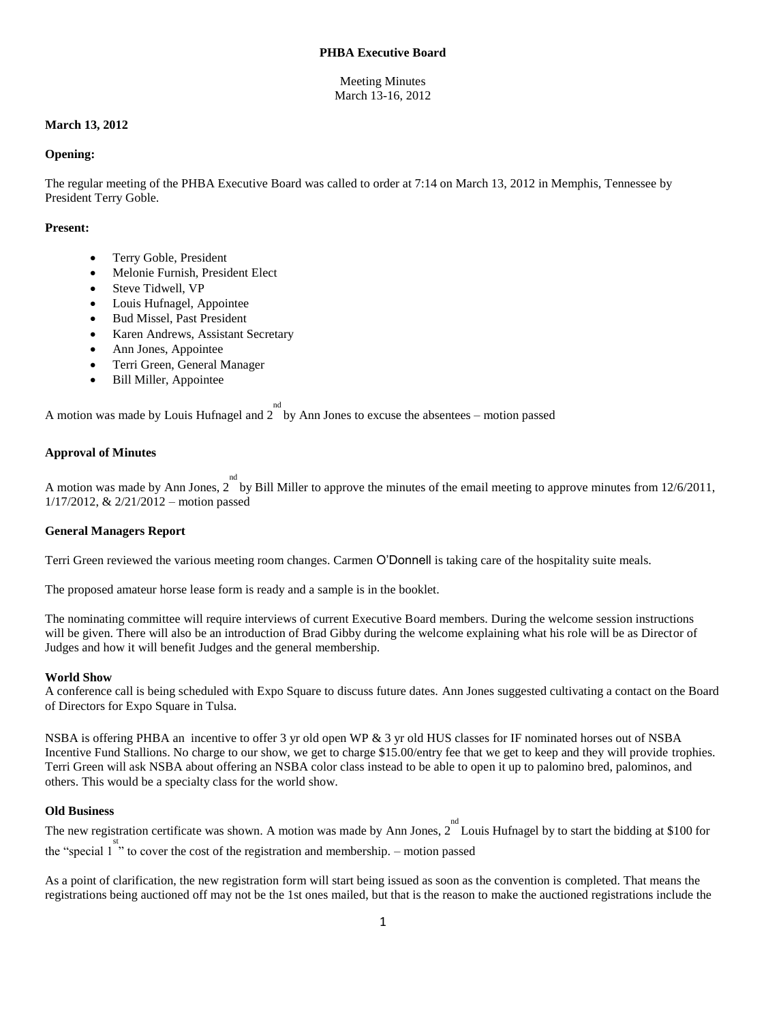# **PHBA Executive Board**

# Meeting Minutes March 13-16, 2012

# **March 13, 2012**

### **Opening:**

The regular meeting of the PHBA Executive Board was called to order at 7:14 on March 13, 2012 in Memphis, Tennessee by President Terry Goble.

### **Present:**

- Terry Goble, President
- Melonie Furnish, President Elect
- Steve Tidwell, VP
- Louis Hufnagel, Appointee
- Bud Missel, Past President
- Karen Andrews, Assistant Secretary
- Ann Jones, Appointee
- Terri Green, General Manager
- Bill Miller, Appointee

A motion was made by Louis Hufnagel and  $2^{\text{nd}}$  by Ann Jones to excuse the absentees – motion passed

# **Approval of Minutes**

A motion was made by Ann Jones, 2 <sup>nd</sup> by Bill Miller to approve the minutes of the email meeting to approve minutes from 12/6/2011, 1/17/2012, & 2/21/2012 – motion passed

# **General Managers Report**

Terri Green reviewed the various meeting room changes. Carmen O'Donnell is taking care of the hospitality suite meals.

The proposed amateur horse lease form is ready and a sample is in the booklet.

The nominating committee will require interviews of current Executive Board members. During the welcome session instructions will be given. There will also be an introduction of Brad Gibby during the welcome explaining what his role will be as Director of Judges and how it will benefit Judges and the general membership.

#### **World Show**

A conference call is being scheduled with Expo Square to discuss future dates. Ann Jones suggested cultivating a contact on the Board of Directors for Expo Square in Tulsa.

NSBA is offering PHBA an incentive to offer 3 yr old open WP & 3 yr old HUS classes for IF nominated horses out of NSBA Incentive Fund Stallions. No charge to our show, we get to charge \$15.00/entry fee that we get to keep and they will provide trophies. Terri Green will ask NSBA about offering an NSBA color class instead to be able to open it up to palomino bred, palominos, and others. This would be a specialty class for the world show.

# **Old Business**

The new registration certificate was shown. A motion was made by Ann Jones,  $2^{nd}$  Louis Hufnagel by to start the bidding at \$100 for the "special  $1$ " to cover the cost of the registration and membership. – motion passed

As a point of clarification, the new registration form will start being issued as soon as the convention is completed. That means the registrations being auctioned off may not be the 1st ones mailed, but that is the reason to make the auctioned registrations include the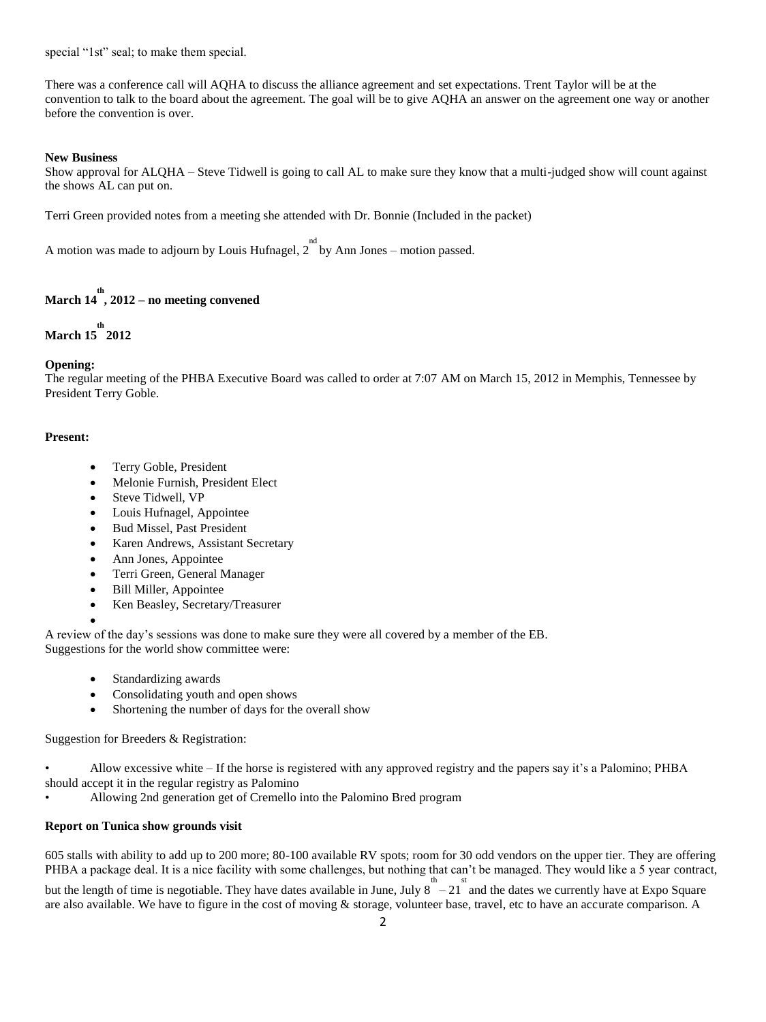special "1st" seal; to make them special.

There was a conference call will AQHA to discuss the alliance agreement and set expectations. Trent Taylor will be at the convention to talk to the board about the agreement. The goal will be to give AQHA an answer on the agreement one way or another before the convention is over.

# **New Business**

Show approval for ALQHA – Steve Tidwell is going to call AL to make sure they know that a multi-judged show will count against the shows AL can put on.

Terri Green provided notes from a meeting she attended with Dr. Bonnie (Included in the packet)

A motion was made to adjourn by Louis Hufnagel,  $2^{nd}$  by Ann Jones – motion passed.

# **March 14 th , 2012 – no meeting convened**

# **March 15 th 2012**

# **Opening:**

The regular meeting of the PHBA Executive Board was called to order at 7:07 AM on March 15, 2012 in Memphis, Tennessee by President Terry Goble.

# **Present:**

- Terry Goble, President
- Melonie Furnish, President Elect
- Steve Tidwell, VP
- Louis Hufnagel, Appointee
- Bud Missel, Past President
- Karen Andrews, Assistant Secretary
- Ann Jones, Appointee
- Terri Green, General Manager
- Bill Miller, Appointee
- Ken Beasley, Secretary/Treasurer
- $\bullet$

A review of the day's sessions was done to make sure they were all covered by a member of the EB. Suggestions for the world show committee were:

- Standardizing awards
- Consolidating youth and open shows
- Shortening the number of days for the overall show

Suggestion for Breeders & Registration:

• Allow excessive white – If the horse is registered with any approved registry and the papers say it's a Palomino; PHBA should accept it in the regular registry as Palomino

• Allowing 2nd generation get of Cremello into the Palomino Bred program

# **Report on Tunica show grounds visit**

605 stalls with ability to add up to 200 more; 80-100 available RV spots; room for 30 odd vendors on the upper tier. They are offering PHBA a package deal. It is a nice facility with some challenges, but nothing that can't be managed. They would like a 5 year contract, but the length of time is negotiable. They have dates available in June, July  $8 - 21$  and the dates we currently have at Expo Square

are also available. We have to figure in the cost of moving & storage, volunteer base, travel, etc to have an accurate comparison. A